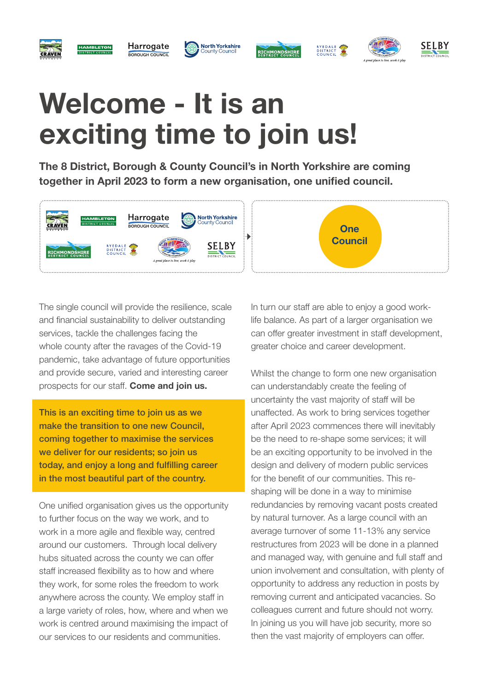

#### Harrogate BOROUGH COUNCIL









# Welcome - It is an exciting time to join us!

The 8 District, Borough & County Council's in North Yorkshire are coming together in April 2023 to form a new organisation, one unified council.



The single council will provide the resilience, scale and financial sustainability to deliver outstanding services, tackle the challenges facing the whole county after the ravages of the Covid-19 pandemic, take advantage of future opportunities and provide secure, varied and interesting career prospects for our staff. Come and join us.

This is an exciting time to join us as we make the transition to one new Council, coming together to maximise the services we deliver for our residents; so join us today, and enjoy a long and fulfilling career in the most beautiful part of the country.

One unified organisation gives us the opportunity to further focus on the way we work, and to work in a more agile and flexible way, centred around our customers. Through local delivery hubs situated across the county we can offer staff increased flexibility as to how and where they work, for some roles the freedom to work anywhere across the county. We employ staff in a large variety of roles, how, where and when we work is centred around maximising the impact of our services to our residents and communities.

In turn our staff are able to enjoy a good worklife balance. As part of a larger organisation we can offer greater investment in staff development, greater choice and career development.

Whilst the change to form one new organisation can understandably create the feeling of uncertainty the vast majority of staff will be unaffected. As work to bring services together after April 2023 commences there will inevitably be the need to re-shape some services; it will be an exciting opportunity to be involved in the design and delivery of modern public services for the benefit of our communities. This reshaping will be done in a way to minimise redundancies by removing vacant posts created by natural turnover. As a large council with an average turnover of some 11-13% any service restructures from 2023 will be done in a planned and managed way, with genuine and full staff and union involvement and consultation, with plenty of opportunity to address any reduction in posts by removing current and anticipated vacancies. So colleagues current and future should not worry. In joining us you will have job security, more so then the vast majority of employers can offer.